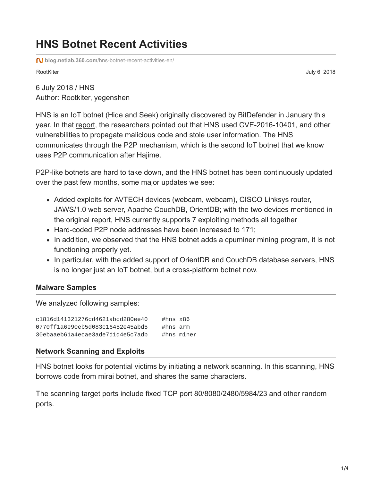# **HNS Botnet Recent Activities**

**blog.netlab.360.com**[/hns-botnet-recent-activities-en/](https://blog.netlab.360.com/hns-botnet-recent-activities-en/)

RootKiter July 6, 2018

6 July 2018 / [HNS](https://blog.netlab.360.com/tag/hns/) Author: Rootkiter, yegenshen

HNS is an IoT botnet (Hide and Seek) originally discovered by BitDefender in January this year. In that [report,](https://labs.bitdefender.com/2018/01/new-hide-n-seek-iot-botnet-using-custom-built-peer-to-peer-communication-spotted-in-the-wild/) the researchers pointed out that HNS used CVE-2016-10401, and other vulnerabilities to propagate malicious code and stole user information. The HNS communicates through the P2P mechanism, which is the second IoT botnet that we know uses P2P communication after Hajime.

P2P-like botnets are hard to take down, and the HNS botnet has been continuously updated over the past few months, some major updates we see:

- Added exploits for AVTECH devices (webcam, webcam), CISCO Linksys router, JAWS/1.0 web server, Apache CouchDB, OrientDB; with the two devices mentioned in the original report, HNS currently supports 7 exploiting methods all together
- Hard-coded P2P node addresses have been increased to 171;
- In addition, we observed that the HNS botnet adds a cpuminer mining program, it is not functioning properly yet.
- In particular, with the added support of OrientDB and CouchDB database servers, HNS is no longer just an IoT botnet, but a cross-platform botnet now.

## **Malware Samples**

We analyzed following samples:

| c1816d141321276cd4621abcd280ee40 | #hns $x86$ |               |
|----------------------------------|------------|---------------|
| 0770ff1a6e90eb5d083c16452e45abd5 | #hns $arm$ |               |
| 30ebaaeb61a4ecae3ade7d1d4e5c7adb |            | $#h$ ns miner |

### **Network Scanning and Exploits**

HNS botnet looks for potential victims by initiating a network scanning. In this scanning, HNS borrows code from mirai botnet, and shares the same characters.

The scanning target ports include fixed TCP port 80/8080/2480/5984/23 and other random ports.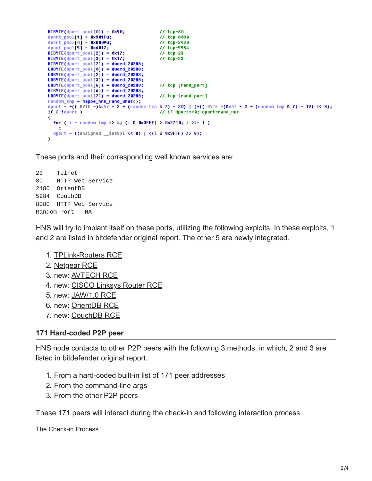```
HIBVTE(dport\_pool[0]) = 0x50;// tcp-80
dport_pool[1] = 0x901Fu;<br>dport_pool[1] = 0x8009u;<br>dport_pool[5] = 0x6017;
                                             // tcp-8080
                                             77 tcp-2480
                                             // tcp-5984
HIBVTE(dport\_pool[2]) = 0x17;11 tcp-23
HIBVTE(dport\_pool[3]) = 0x17;11 tcp-23
HIBYTE(dport_pool[7]) = dword_20288;
LOBYTE(dport_pool[0]) = dword_20288;
LDBYTE(dport\_pool[2]) = dword_20288;LDBYTE(dport\_pool[3]) = dword_20288;LOBYTE(dport_pool[6]) = dword_20288;
                                             // tcp-[rand_port]
HIBYTE(dport\_pool[6]) = dword_20288;LOBYTE(dport_pool[7]) = dword_20288;
                                             // tcp-[rand_port]
random tmp = maybe hns rand what();
dport = *((_BYTE *)&v47 + 2 * (random_tmp & 7) - 20) | (*((_BYTE *)&v47 + 2 * (random_tmp & 7) - 19) << 8);
if ( !dport )
                                             // if dport==0; dport=rand_num
₹
  for ( i = random_tmp >> 4; (i & 0x3FFF) > 0x2710; i >>= 1)
  dport = ((unsigned _int8)i << 8) | ((i & 0x3FFF) >> 8);
X
```
These ports and their corresponding well known services are:

23 Telnet 80 HTTP Web Service 2480 OrientDB 5984 CouchDB 8080 HTTP Web Service Random-Port NA

HNS will try to implant itself on these ports, utilizing the following exploits. In these exploits, 1 and 2 are listed in bitdefender original report. The other 5 are newly integrated.

- 1. [TPLink-Routers RCE](https://sekurak.pl/tp-link-httptftp-backdoor/)
- 2. [Netgear RCE](https://www.exploit-db.com/exploits/43055/)
- 3. new: [AVTECH RCE](https://www.exploit-db.com/exploits/40500/)
- 4. new: [CISCO Linksys Router RCE](https://vuldb.com/?id.12362)
- 5. new: [JAW/1.0 RCE](https://www.pentestpartners.com/security-blog/pwning-cctv-cameras/)
- 6. new: [OrientDB RCE](https://www.exploit-db.com/exploits/42965/)
- 7. new: [CouchDB RCE](https://www.exploit-db.com/exploits/44913/)

#### **171 Hard-coded P2P peer**

HNS node contacts to other P2P peers with the following 3 methods, in which, 2 and 3 are listed in bitdefender original report.

- 1. From a hard-coded built-in list of 171 peer addresses
- 2. From the command-line args
- 3. From the other P2P peers

These 171 peers will interact during the check-in and following interaction process

The Check-in Process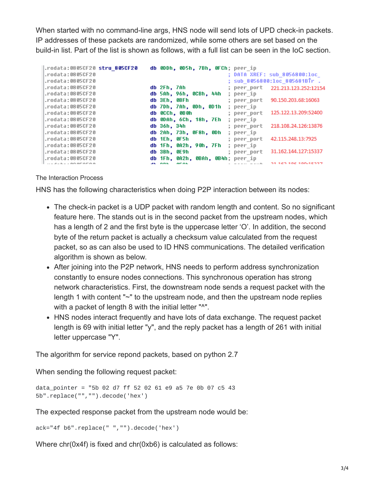When started with no command-line args, HNS node will send lots of UPD check-in packets. IP addresses of these packets are randomized, while some others are set based on the build-in list. Part of the list is shown as follows, with a full list can be seen in the IoC section.

| rodata:0805CF20 stru 805CF20. | db 0DDh, 0D5h, 7Bh, 0FCh; peer ip                    |
|-------------------------------|------------------------------------------------------|
| .rodata:0805CF20              | <b>: DATA XREF: sub 8056800:loc</b>                  |
| .rodata:0805CF20              | ; sub 8056800:loc 805681BTr .                        |
| $.$ rodata:0805 $C$ F20       | db 2Fh, 7Ah<br>; peer_port 221.213.123.252:12154     |
| .rodata:0805CF20              | db 5Ah, 96h, 0CBh, 44h<br>; peer ip                  |
| .rodata:0805CF20              | 90.150.203.68:16063<br>db 3Eh. 0BFh<br>; peer port   |
| .rodata:0805CF20              | db 7Dh, 7Ah, 0Dh, 0D1h<br>; peer ip                  |
| .rodata:0805CF20              | 125.122.13.209:52400<br>db 0CCh, 0B0h<br>; peer port |
| .rodata:0805CF20              | db 0DAh, 6Ch, 18h, 7Eh<br>; peer_ip                  |
| $.$ rodata:0805 $C$ F20       | 218.108.24.126:13876<br>db 36h, 34h<br>; peer port   |
| .rodata:0805CF20              | db 2Ah, 73h, 0F8h, 0Dh<br>; peer_ip                  |
| $.$ rodata:0805 $C$ F20       | 42.115.248.13:7925<br>db 1Eh, 0F5h<br>; peer port    |
| .rodata:0805CF20              | db 1Fh, 0A2h, 90h, 7Fh<br>; peer ip                  |
| .rodata:0805CF20              | 31.162.144.127:15337<br>db 3Bh, 0E9h<br>; peer port  |
| .rodata:0805CF20              | db 1Fh, 0A2h, 0BAh, 0B4h; peer ip                    |
|                               | 01-140-104-100-15007<br><b>AFAL</b>                  |

#### The Interaction Process

HNS has the following characteristics when doing P2P interaction between its nodes:

- The check-in packet is a UDP packet with random length and content. So no significant feature here. The stands out is in the second packet from the upstream nodes, which has a length of 2 and the first byte is the uppercase letter 'O'. In addition, the second byte of the return packet is actually a checksum value calculated from the request packet, so as can also be used to ID HNS communications. The detailed verification algorithm is shown as below.
- After joining into the P2P network, HNS needs to perform address synchronization constantly to ensure nodes connections. This synchronous operation has strong network characteristics. First, the downstream node sends a request packet with the length 1 with content "~" to the upstream node, and then the upstream node replies with a packet of length 8 with the initial letter "^".
- HNS nodes interact frequently and have lots of data exchange. The request packet length is 69 with initial letter "y", and the reply packet has a length of 261 with initial letter uppercase "Y".

The algorithm for service repond packets, based on python 2.7

When sending the following request packet:

```
data_pointer = "5b 02 d7 ff 52 02 61 e9 a5 7e 0b 07 c5 43
5b".replace("","").decode('hex')
```
The expected response packet from the upstream node would be:

```
ack="4f b6".replace(" ","").decode('hex')
```
Where chr(0x4f) is fixed and chr(0xb6) is calculated as follows: